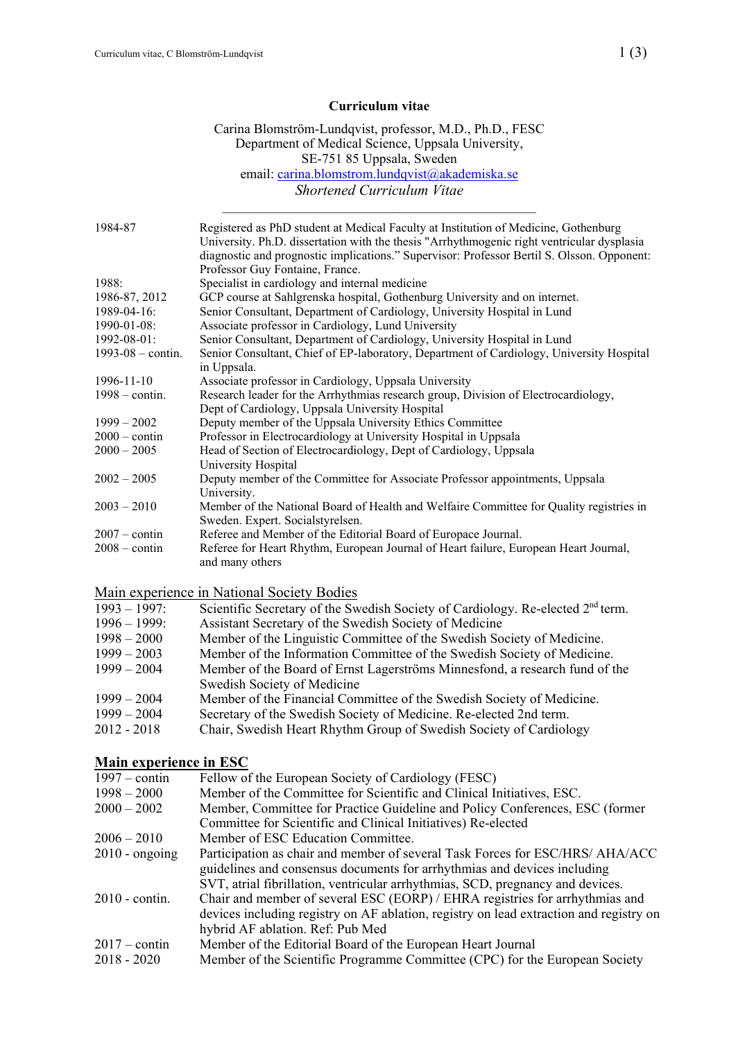#### **Curriculum vitae**

#### Carina Blomström-Lundqvist, professor, M.D., Ph.D., FESC Department of Medical Science, Uppsala University, SE-751 85 Uppsala, Sweden email: carina.blomstrom.lundqvist@akademiska.se *Shortened Curriculum Vitae*

 $\mathcal{L}_\text{max}$  and the contract of the contract of the contract of the contract of the contract of the contract of the contract of the contract of the contract of the contract of the contract of the contract of the contrac

| 1984-87                      | Registered as PhD student at Medical Faculty at Institution of Medicine, Gothenburg<br>University. Ph.D. dissertation with the thesis "Arrhythmogenic right ventricular dysplasia |
|------------------------------|-----------------------------------------------------------------------------------------------------------------------------------------------------------------------------------|
|                              | diagnostic and prognostic implications." Supervisor: Professor Bertil S. Olsson. Opponent:<br>Professor Guy Fontaine, France.                                                     |
| 1988:                        | Specialist in cardiology and internal medicine                                                                                                                                    |
| 1986-87, 2012                | GCP course at Sahlgrenska hospital, Gothenburg University and on internet.                                                                                                        |
| 1989-04-16:                  | Senior Consultant, Department of Cardiology, University Hospital in Lund                                                                                                          |
| 1990-01-08:                  | Associate professor in Cardiology, Lund University                                                                                                                                |
| 1992-08-01:                  | Senior Consultant, Department of Cardiology, University Hospital in Lund                                                                                                          |
| $1993 - 08 - \text{contin}.$ | Senior Consultant, Chief of EP-laboratory, Department of Cardiology, University Hospital                                                                                          |
|                              | in Uppsala.                                                                                                                                                                       |
| 1996-11-10                   | Associate professor in Cardiology, Uppsala University                                                                                                                             |
| $1998 - \text{contin}.$      | Research leader for the Arrhythmias research group, Division of Electrocardiology,                                                                                                |
|                              | Dept of Cardiology, Uppsala University Hospital                                                                                                                                   |
| $1999 - 2002$                | Deputy member of the Uppsala University Ethics Committee                                                                                                                          |
| $2000 - \text{contin}$       | Professor in Electrocardiology at University Hospital in Uppsala                                                                                                                  |
| $2000 - 2005$                | Head of Section of Electrocardiology, Dept of Cardiology, Uppsala                                                                                                                 |
|                              | University Hospital                                                                                                                                                               |
| $2002 - 2005$                | Deputy member of the Committee for Associate Professor appointments, Uppsala                                                                                                      |
|                              | University.                                                                                                                                                                       |
| $2003 - 2010$                | Member of the National Board of Health and Welfaire Committee for Quality registries in                                                                                           |
|                              | Sweden. Expert. Socialstyrelsen.                                                                                                                                                  |
| $2007 - \text{contin}$       | Referee and Member of the Editorial Board of Europace Journal.                                                                                                                    |
| $2008 - \text{contin}$       | Referee for Heart Rhythm, European Journal of Heart failure, European Heart Journal,<br>and many others                                                                           |

#### Main experience in National Society Bodies

| $1993 - 1997$ : | Scientific Secretary of the Swedish Society of Cardiology. Re-elected 2 <sup>nd</sup> term. |
|-----------------|---------------------------------------------------------------------------------------------|
| $1996 - 1999$ : | Assistant Secretary of the Swedish Society of Medicine                                      |
| $1998 - 2000$   | Member of the Linguistic Committee of the Swedish Society of Medicine.                      |
| $1999 - 2003$   | Member of the Information Committee of the Swedish Society of Medicine.                     |
| $1999 - 2004$   | Member of the Board of Ernst Lagerströms Minnesfond, a research fund of the                 |
|                 | Swedish Society of Medicine                                                                 |
| $1999 - 2004$   | Member of the Financial Committee of the Swedish Society of Medicine.                       |
| $1999 - 2004$   | Secretary of the Swedish Society of Medicine. Re-elected 2nd term.                          |
| 2012 - 2018     | Chair, Swedish Heart Rhythm Group of Swedish Society of Cardiology                          |

## **Main experience in ESC**

| $1997 - \text{contin}$ | Fellow of the European Society of Cardiology (FESC)                                    |
|------------------------|----------------------------------------------------------------------------------------|
| $1998 - 2000$          | Member of the Committee for Scientific and Clinical Initiatives, ESC.                  |
| $2000 - 2002$          | Member, Committee for Practice Guideline and Policy Conferences, ESC (former           |
|                        | Committee for Scientific and Clinical Initiatives) Re-elected                          |
| $2006 - 2010$          | Member of ESC Education Committee.                                                     |
| $2010$ - ongoing       | Participation as chair and member of several Task Forces for ESC/HRS/ AHA/ACC          |
|                        | guidelines and consensus documents for arrhythmias and devices including               |
|                        | SVT, atrial fibrillation, ventricular arrhythmias, SCD, pregnancy and devices.         |
| $2010$ - contin.       | Chair and member of several ESC (EORP) / EHRA registries for arrhythmias and           |
|                        | devices including registry on AF ablation, registry on lead extraction and registry on |
|                        | hybrid AF ablation. Ref: Pub Med                                                       |
| $2017 - \text{contin}$ | Member of the Editorial Board of the European Heart Journal                            |
| $2018 - 2020$          | Member of the Scientific Programme Committee (CPC) for the European Society            |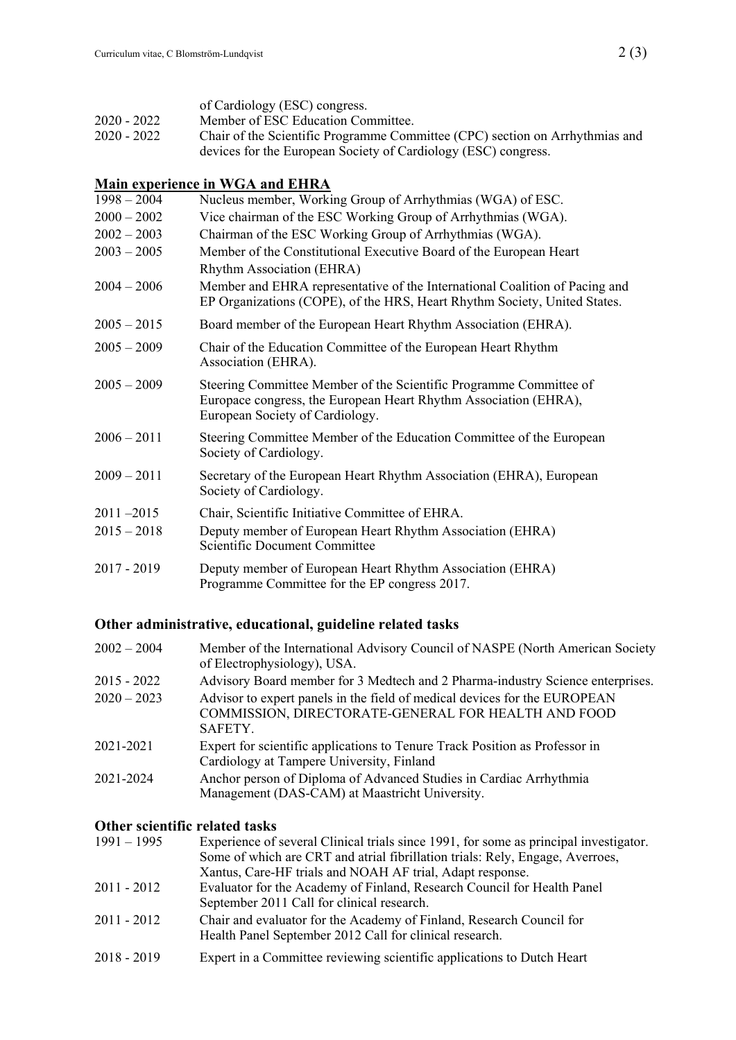## **Main experience in WGA and EHRA**

|               | Tan Vaperience in West and Emily                                                                                                                                          |
|---------------|---------------------------------------------------------------------------------------------------------------------------------------------------------------------------|
| $1998 - 2004$ | Nucleus member, Working Group of Arrhythmias (WGA) of ESC.                                                                                                                |
| $2000 - 2002$ | Vice chairman of the ESC Working Group of Arrhythmias (WGA).                                                                                                              |
| $2002 - 2003$ | Chairman of the ESC Working Group of Arrhythmias (WGA).                                                                                                                   |
| $2003 - 2005$ | Member of the Constitutional Executive Board of the European Heart                                                                                                        |
|               | Rhythm Association (EHRA)                                                                                                                                                 |
| $2004 - 2006$ | Member and EHRA representative of the International Coalition of Pacing and<br>EP Organizations (COPE), of the HRS, Heart Rhythm Society, United States.                  |
| $2005 - 2015$ | Board member of the European Heart Rhythm Association (EHRA).                                                                                                             |
| $2005 - 2009$ | Chair of the Education Committee of the European Heart Rhythm<br>Association (EHRA).                                                                                      |
| $2005 - 2009$ | Steering Committee Member of the Scientific Programme Committee of<br>Europace congress, the European Heart Rhythm Association (EHRA),<br>European Society of Cardiology. |
| $2006 - 2011$ | Steering Committee Member of the Education Committee of the European<br>Society of Cardiology.                                                                            |
| $2009 - 2011$ | Secretary of the European Heart Rhythm Association (EHRA), European<br>Society of Cardiology.                                                                             |
| $2011 - 2015$ | Chair, Scientific Initiative Committee of EHRA.                                                                                                                           |
| $2015 - 2018$ | Deputy member of European Heart Rhythm Association (EHRA)<br>Scientific Document Committee                                                                                |
| $2017 - 2019$ | Deputy member of European Heart Rhythm Association (EHRA)<br>Programme Committee for the EP congress 2017.                                                                |

# **Other administrative, educational, guideline related tasks**

| Member of the International Advisory Council of NASPE (North American Society<br>of Electrophysiology), USA.                                |
|---------------------------------------------------------------------------------------------------------------------------------------------|
| Advisory Board member for 3 Medtech and 2 Pharma-industry Science enterprises.                                                              |
| Advisor to expert panels in the field of medical devices for the EUROPEAN<br>COMMISSION, DIRECTORATE-GENERAL FOR HEALTH AND FOOD<br>SAFETY. |
| Expert for scientific applications to Tenure Track Position as Professor in<br>Cardiology at Tampere University, Finland                    |
| Anchor person of Diploma of Advanced Studies in Cardiac Arrhythmia<br>Management (DAS-CAM) at Maastricht University.                        |
|                                                                                                                                             |

### **Other scientific related tasks**

| $1991 - 1995$ | Experience of several Clinical trials since 1991, for some as principal investigator.                                           |
|---------------|---------------------------------------------------------------------------------------------------------------------------------|
|               | Some of which are CRT and atrial fibrillation trials: Rely, Engage, Averroes,                                                   |
|               | Xantus, Care-HF trials and NOAH AF trial, Adapt response.                                                                       |
| 2011 - 2012   | Evaluator for the Academy of Finland, Research Council for Health Panel                                                         |
|               | September 2011 Call for clinical research.                                                                                      |
| 2011 - 2012   | Chair and evaluator for the Academy of Finland, Research Council for<br>Health Panel September 2012 Call for clinical research. |
| 2018 - 2019   | Expert in a Committee reviewing scientific applications to Dutch Heart                                                          |